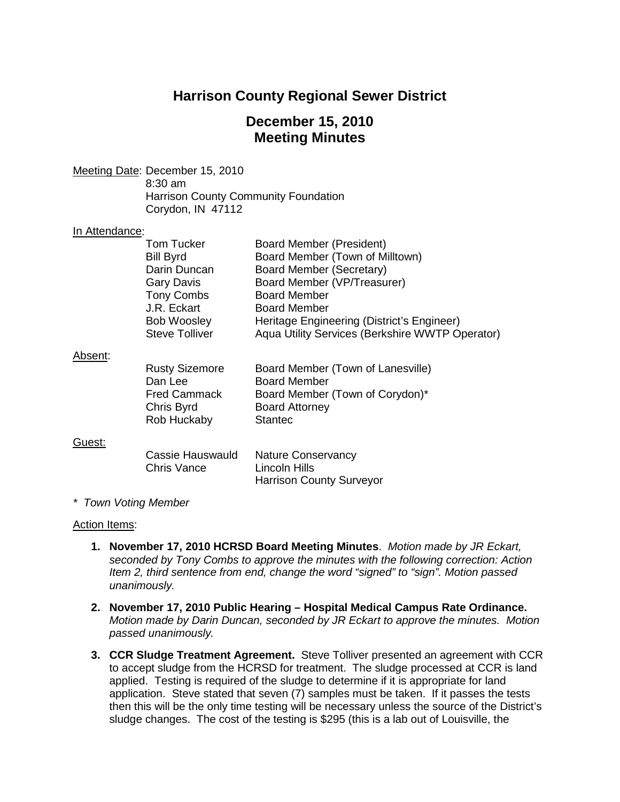# **Harrison County Regional Sewer District**

### **December 15, 2010 Meeting Minutes**

Meeting Date : December 15, 2010 8:30 am Harrison County Community Foundation Corydon, IN 47112

### In Attendance:

| Tom Tucker<br><b>Bill Byrd</b><br>Darin Duncan             | Board Member (President)<br>Board Member (Town of Milltown)<br>Board Member (Secretary)                              |
|------------------------------------------------------------|----------------------------------------------------------------------------------------------------------------------|
| <b>Gary Davis</b><br><b>Tony Combs</b>                     | Board Member (VP/Treasurer)<br><b>Board Member</b>                                                                   |
| J.R. Eckart<br><b>Bob Woosley</b><br><b>Steve Tolliver</b> | <b>Board Member</b><br>Heritage Engineering (District's Engineer)<br>Aqua Utility Services (Berkshire WWTP Operator) |

#### Absent :

| <b>Rusty Sizemore</b> | Board Member (Town of Lanesville) |
|-----------------------|-----------------------------------|
| Dan Lee               | <b>Board Member</b>               |
| <b>Fred Cammack</b>   | Board Member (Town of Corydon)*   |
| Chris Byrd            | <b>Board Attorney</b>             |
| Rob Huckaby           | <b>Stantec</b>                    |
|                       |                                   |

#### Guest:

| Cassie Hauswauld | <b>Nature Conservancy</b>       |
|------------------|---------------------------------|
| Chris Vance      | Lincoln Hills                   |
|                  | <b>Harrison County Surveyor</b> |

#### *\* Town Voting Member*

#### Action Items:

- **1. November 17, 2010 HCRSD Board Meeting Minutes**. *Motion made by JR Eckart, seconded by Tony Combs to approve the minutes with the following correction: Action Item 2, third sentence from end, change the word "signed" to "sign". Motion passed unanimously.*
- **2. November 17, 2010 Public Hearing – Hospital Medical Campus Rate Ordinance.**  *Motion made by Darin Duncan, seconded by JR Eckart to approve the minutes. Motion passed unanimously.*
- **3. CCR Sludge Treatment Agreement.** Steve Tolliver presented an agreement with CCR to accept sludge from the HCRSD for treatment. The sludge processed at CCR is land applied. Testing is required of the sludge to determine if it is appropriate for land application. Steve stated that seven (7) samples must be taken. If it passes the tests then this will be the only time testing will be necessary unless the source of the District's sludge changes. The cost of the testing is \$295 (this is a lab out of Louisville, the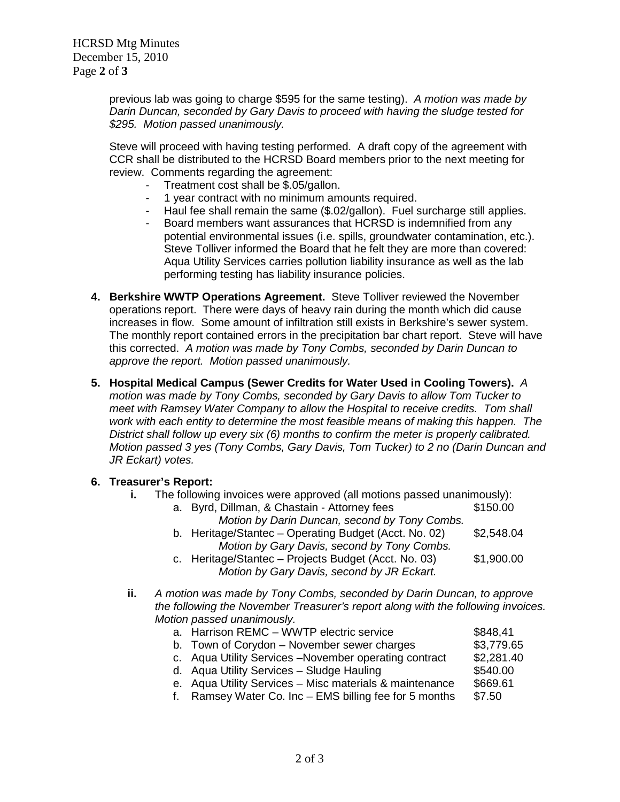HCRSD Mtg Minutes December 15, 2010 Page **2** of **3**

> previous lab was going to charge \$595 for the same testing). *A motion was made by Darin Duncan, seconded by Gary Davis to proceed with having the sludge tested for \$295. Motion passed unanimously.*

> Steve will proceed with having testing performed. A draft copy of the agreement with CCR shall be distributed to the HCRSD Board members prior to the next meeting for review. Comments regarding the agreement:

- Treatment cost shall be \$.05/gallon.
- 1 year contract with no minimum amounts required.
- Haul fee shall remain the same (\$.02/gallon). Fuel surcharge still applies.
- Board members want assurances that HCRSD is indemnified from any potential environmental issues (i.e. spills, groundwater contamination, etc.). Steve Tolliver informed the Board that he felt they are more than covered: Aqua Utility Services carries pollution liability insurance as well as the lab performing testing has liability insurance policies.
- **4. Berkshire WWTP Operations Agreement.** Steve Tolliver reviewed the November operations report. There were days of heavy rain during the month which did cause increases in flow. Some amount of infiltration still exists in Berkshire's sewer system. The monthly report contained errors in the precipitation bar chart report. Steve will have this corrected. *A motion was made by Tony Combs, seconded by Darin Duncan to approve the report. Motion passed unanimously.*
- **5. Hospital Medical Campus (Sewer Credits for Water Used in Cooling Towers).** *A motion was made by Tony Combs, seconded by Gary Davis to allow Tom Tucker to meet with Ramsey Water Company to allow the Hospital to receive credits. Tom shall work with each entity to determine the most feasible means of making this happen. The District shall follow up every six (6) months to confirm the meter is properly calibrated. Motion passed 3 yes (Tony Combs, Gary Davis, Tom Tucker) to 2 no (Darin Duncan and JR Eckart) votes.*

#### **6. Treasurer's Report:**

**i.** The following invoices were approved (all motions passed unanimously):

| a. Byrd, Dillman, & Chastain - Attorney fees                                                                       | \$150.00    |
|--------------------------------------------------------------------------------------------------------------------|-------------|
| Motion by Darin Duncan, second by Tony Combs.                                                                      |             |
| b. Heritage/Stantec – Operating Budget (Acct. No. 02)                                                              | \$2,548.04  |
| Motion by Gary Davis, second by Tony Combs.                                                                        |             |
| $\sim$ 11. $\sim$ 10. $\sim$ 10. $\sim$ 1. $\sim$ 1. $\sim$ 1. $\sim$ 1. $\sim$ 1. $\sim$ 1. $\sim$ 1. $\sim$ 0.0) | $A$ $00000$ |

- c. Heritage/Stantec Projects Budget (Acct. No. 03) \$1,900.00 *Motion by Gary Davis, second by JR Eckart.*
- **ii.** *A motion was made by Tony Combs, seconded by Darin Duncan, to approve the following the November Treasurer's report along with the following invoices. Motion passed unanimously.*

| a. Harrison REMC – WWTP electric service                | \$848,41   |
|---------------------------------------------------------|------------|
| b. Town of Corydon - November sewer charges             | \$3,779.65 |
| c. Aqua Utility Services - November operating contract  | \$2,281.40 |
| d. Aqua Utility Services - Sludge Hauling               | \$540.00   |
| e. Aqua Utility Services - Misc materials & maintenance | \$669.61   |
| f. Ramsey Water Co. Inc - EMS billing fee for 5 months  | \$7.50     |